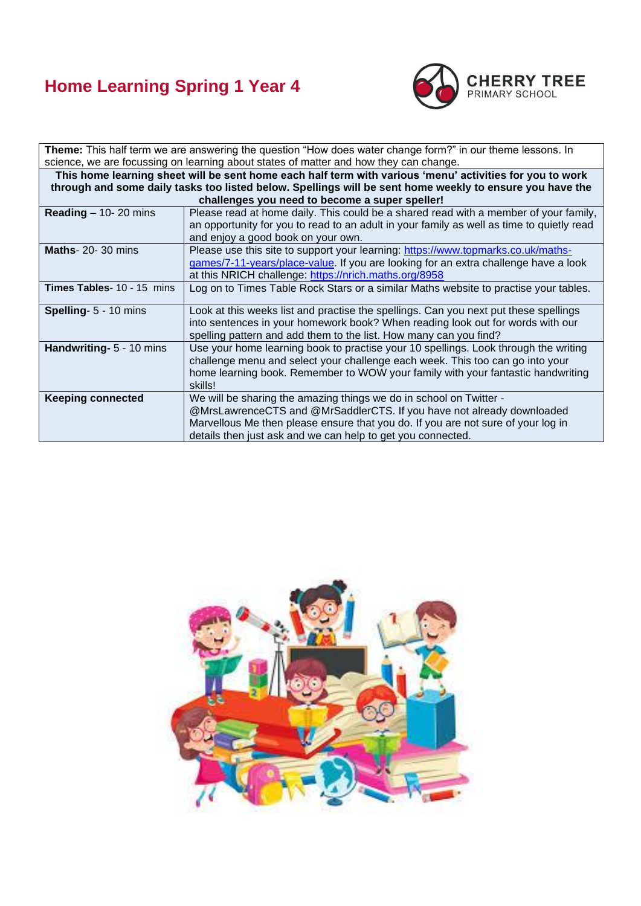## **Home Learning Spring 1 Year 4**



| Theme: This half term we are answering the question "How does water change form?" in our theme lessons. In |                                                                                           |  |  |
|------------------------------------------------------------------------------------------------------------|-------------------------------------------------------------------------------------------|--|--|
| science, we are focussing on learning about states of matter and how they can change.                      |                                                                                           |  |  |
| This home learning sheet will be sent home each half term with various 'menu' activities for you to work   |                                                                                           |  |  |
| through and some daily tasks too listed below. Spellings will be sent home weekly to ensure you have the   |                                                                                           |  |  |
| challenges you need to become a super speller!                                                             |                                                                                           |  |  |
| <b>Reading</b> $-$ 10- 20 mins                                                                             | Please read at home daily. This could be a shared read with a member of your family,      |  |  |
|                                                                                                            | an opportunity for you to read to an adult in your family as well as time to quietly read |  |  |
|                                                                                                            | and enjoy a good book on your own.                                                        |  |  |
| <b>Maths-20-30 mins</b>                                                                                    | Please use this site to support your learning: https://www.topmarks.co.uk/maths-          |  |  |
|                                                                                                            | games/7-11-years/place-value. If you are looking for an extra challenge have a look       |  |  |
|                                                                                                            | at this NRICH challenge: https://nrich.maths.org/8958                                     |  |  |
| Times Tables- 10 - 15 mins                                                                                 | Log on to Times Table Rock Stars or a similar Maths website to practise your tables.      |  |  |
| Spelling- 5 - 10 mins                                                                                      | Look at this weeks list and practise the spellings. Can you next put these spellings      |  |  |
|                                                                                                            | into sentences in your homework book? When reading look out for words with our            |  |  |
|                                                                                                            | spelling pattern and add them to the list. How many can you find?                         |  |  |
| Handwriting- 5 - 10 mins                                                                                   | Use your home learning book to practise your 10 spellings. Look through the writing       |  |  |
|                                                                                                            | challenge menu and select your challenge each week. This too can go into your             |  |  |
|                                                                                                            | home learning book. Remember to WOW your family with your fantastic handwriting           |  |  |
|                                                                                                            | skills!                                                                                   |  |  |
| <b>Keeping connected</b>                                                                                   | We will be sharing the amazing things we do in school on Twitter -                        |  |  |
|                                                                                                            | @MrsLawrenceCTS and @MrSaddlerCTS. If you have not already downloaded                     |  |  |
|                                                                                                            | Marvellous Me then please ensure that you do. If you are not sure of your log in          |  |  |
|                                                                                                            | details then just ask and we can help to get you connected.                               |  |  |

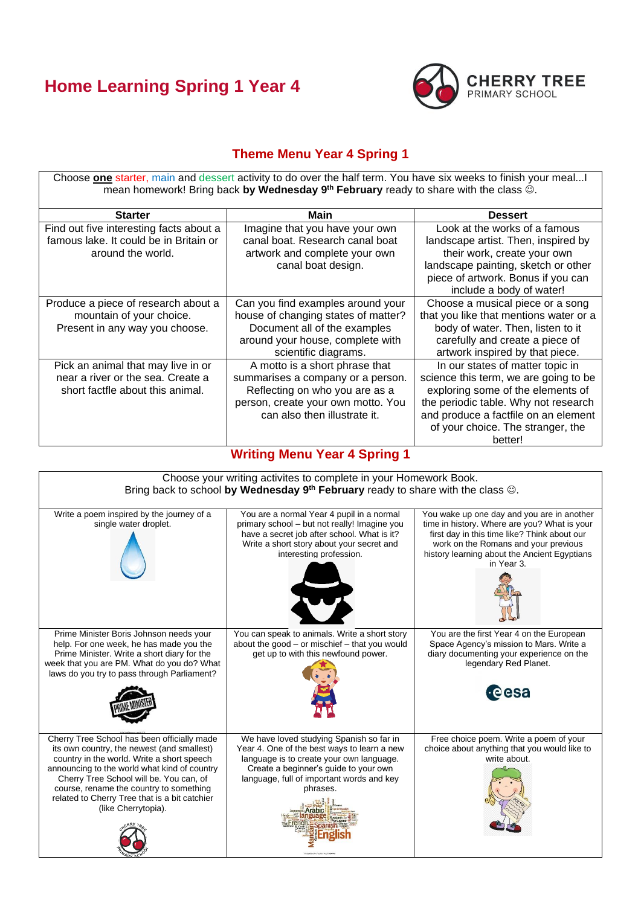## **Home Learning Spring 1 Year 4**



## **Theme Menu Year 4 Spring 1**

Choose **one** starter, main and dessert activity to do over the half term. You have six weeks to finish your meal...I mean homework! Bring back **by Wednesday 9 th February** ready to share with the class ☺.

| <b>Starter</b>                          | Main                                | <b>Dessert</b>                         |  |
|-----------------------------------------|-------------------------------------|----------------------------------------|--|
| Find out five interesting facts about a | Imagine that you have your own      | Look at the works of a famous          |  |
| famous lake. It could be in Britain or  | canal boat. Research canal boat     | landscape artist. Then, inspired by    |  |
| around the world.                       | artwork and complete your own       | their work, create your own            |  |
|                                         | canal boat design.                  | landscape painting, sketch or other    |  |
|                                         |                                     | piece of artwork. Bonus if you can     |  |
|                                         |                                     | include a body of water!               |  |
| Produce a piece of research about a     | Can you find examples around your   | Choose a musical piece or a song       |  |
| mountain of your choice.                | house of changing states of matter? | that you like that mentions water or a |  |
| Present in any way you choose.          | Document all of the examples        | body of water. Then, listen to it      |  |
|                                         | around your house, complete with    | carefully and create a piece of        |  |
|                                         | scientific diagrams.                | artwork inspired by that piece.        |  |
| Pick an animal that may live in or      | A motto is a short phrase that      | In our states of matter topic in       |  |
| near a river or the sea. Create a       | summarises a company or a person.   | science this term, we are going to be  |  |
| short factfle about this animal.        | Reflecting on who you are as a      | exploring some of the elements of      |  |
|                                         | person, create your own motto. You  | the periodic table. Why not research   |  |
|                                         | can also then illustrate it.        | and produce a factfile on an element   |  |
|                                         |                                     | of your choice. The stranger, the      |  |
|                                         |                                     | better!                                |  |

**Writing Menu Year 4 Spring 1**